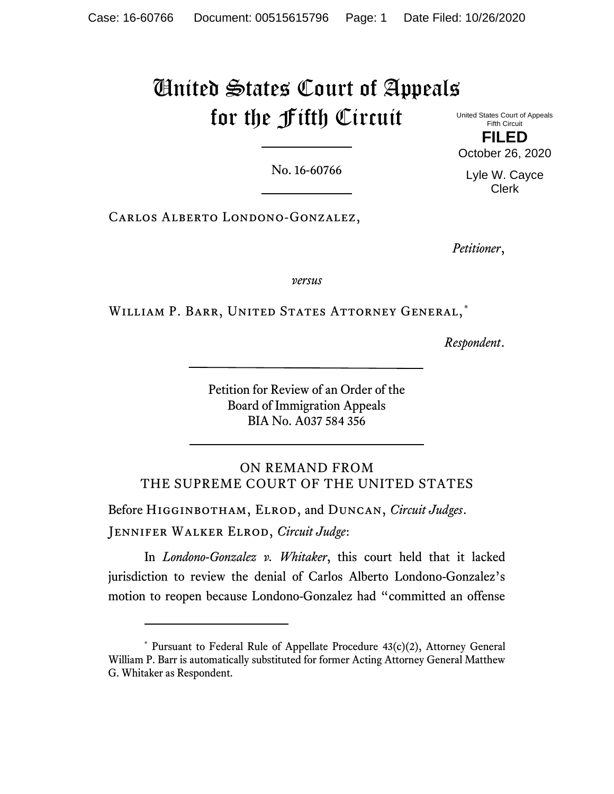# United States Court of Appeals for the Fifth Circuit

United States Court of Appeals Fifth Circuit **FILED** October 26, 2020

Lyle W. Cayce Clerk

No. 16-60766

Carlos Alberto Londono-Gonzalez,

*Petitioner*,

*versus*

WILLIAM P. BARR, UNITED STATES ATTORNEY GENERAL,[\\*](#page-0-0)

*Respondent*.

Petition for Review of an Order of the Board of Immigration Appeals BIA No. A037 584 356

ON REMAND FROM THE SUPREME COURT OF THE UNITED STATES

Before Higginbotham, Elrod, and Duncan, *Circuit Judges*. Jennifer Walker Elrod, *Circuit Judge*:

In *Londono-Gonzalez v. Whitaker*, this court held that it lacked jurisdiction to review the denial of Carlos Alberto Londono-Gonzalez's motion to reopen because Londono-Gonzalez had "committed an offense

<span id="page-0-0"></span><sup>\*</sup> Pursuant to Federal Rule of Appellate Procedure 43(c)(2), Attorney General William P. Barr is automatically substituted for former Acting Attorney General Matthew G. Whitaker as Respondent.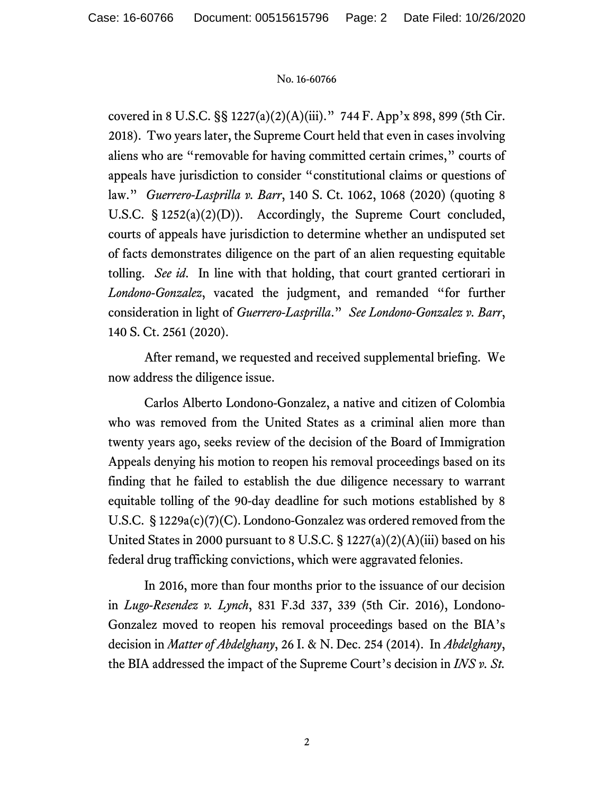covered in 8 U.S.C. §§ 1227(a)(2)(A)(iii)." 744 F. App'x 898, 899 (5th Cir. 2018). Two years later, the Supreme Court held that even in cases involving aliens who are "removable for having committed certain crimes," courts of appeals have jurisdiction to consider "constitutional claims or questions of law." *Guerrero-Lasprilla v. Barr*, 140 S. Ct. 1062, 1068 (2020) (quoting 8 U.S.C. § 1252(a)(2)(D)). Accordingly, the Supreme Court concluded, courts of appeals have jurisdiction to determine whether an undisputed set of facts demonstrates diligence on the part of an alien requesting equitable tolling. *See id*. In line with that holding, that court granted certiorari in *Londono-Gonzalez*, vacated the judgment, and remanded "for further consideration in light of *Guerrero-Lasprilla*." *See Londono-Gonzalez v. Barr*, 140 S. Ct. 2561 (2020).

After remand, we requested and received supplemental briefing. We now address the diligence issue.

Carlos Alberto Londono-Gonzalez, a native and citizen of Colombia who was removed from the United States as a criminal alien more than twenty years ago, seeks review of the decision of the Board of Immigration Appeals denying his motion to reopen his removal proceedings based on its finding that he failed to establish the due diligence necessary to warrant equitable tolling of the 90-day deadline for such motions established by 8 U.S.C. § 1229a(c)(7)(C). Londono-Gonzalez was ordered removed from the United States in 2000 pursuant to 8 U.S.C.  $\S 1227(a)(2)(A)(iii)$  based on his federal drug trafficking convictions, which were aggravated felonies.

In 2016, more than four months prior to the issuance of our decision in *Lugo-Resendez v. Lynch*, 831 F.3d 337, 339 (5th Cir. 2016), Londono-Gonzalez moved to reopen his removal proceedings based on the BIA's decision in *Matter of Abdelghany*, 26 I. & N. Dec. 254 (2014). In *Abdelghany*, the BIA addressed the impact of the Supreme Court's decision in *INS v. St.*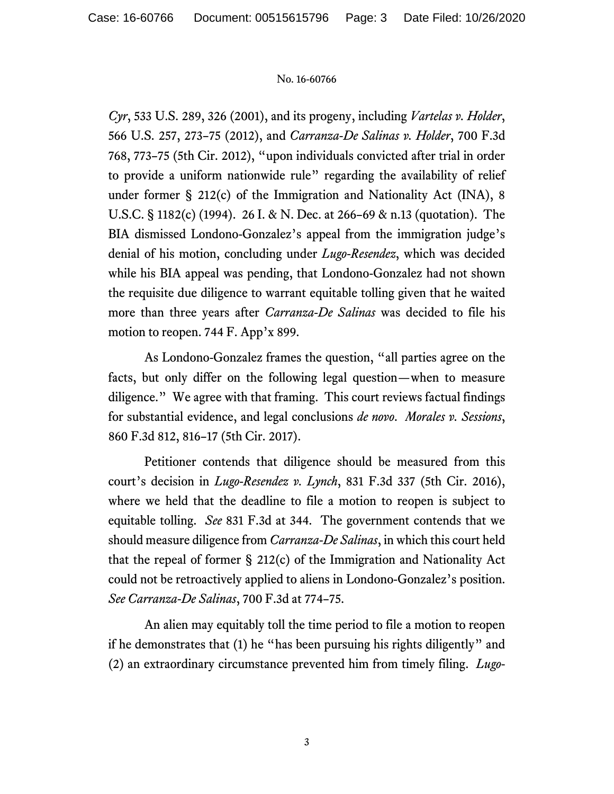*Cyr*, 533 U.S. 289, 326 (2001), and its progeny, including *Vartelas v. Holder*, 566 U.S. 257, 273–75 (2012), and *Carranza-De Salinas v. Holder*, 700 F.3d 768, 773–75 (5th Cir. 2012), "upon individuals convicted after trial in order to provide a uniform nationwide rule" regarding the availability of relief under former § 212(c) of the Immigration and Nationality Act (INA), 8 U.S.C. § 1182(c) (1994). 26 I. & N. Dec. at 266–69 & n.13 (quotation). The BIA dismissed Londono-Gonzalez's appeal from the immigration judge's denial of his motion, concluding under *Lugo-Resendez*, which was decided while his BIA appeal was pending, that Londono-Gonzalez had not shown the requisite due diligence to warrant equitable tolling given that he waited more than three years after *Carranza-De Salinas* was decided to file his motion to reopen. 744 F. App'x 899.

As Londono-Gonzalez frames the question, "all parties agree on the facts, but only differ on the following legal question—when to measure diligence." We agree with that framing. This court reviews factual findings for substantial evidence, and legal conclusions *de novo*. *Morales v. Sessions*, 860 F.3d 812, 816–17 (5th Cir. 2017).

Petitioner contends that diligence should be measured from this court's decision in *Lugo-Resendez v. Lynch*, 831 F.3d 337 (5th Cir. 2016), where we held that the deadline to file a motion to reopen is subject to equitable tolling. *See* 831 F.3d at 344. The government contends that we should measure diligence from *Carranza-De Salinas*, in which this court held that the repeal of former § 212(c) of the Immigration and Nationality Act could not be retroactively applied to aliens in Londono-Gonzalez's position. *See Carranza-De Salinas*, 700 F.3d at 774–75.

An alien may equitably toll the time period to file a motion to reopen if he demonstrates that (1) he "has been pursuing his rights diligently" and (2) an extraordinary circumstance prevented him from timely filing. *Lugo-*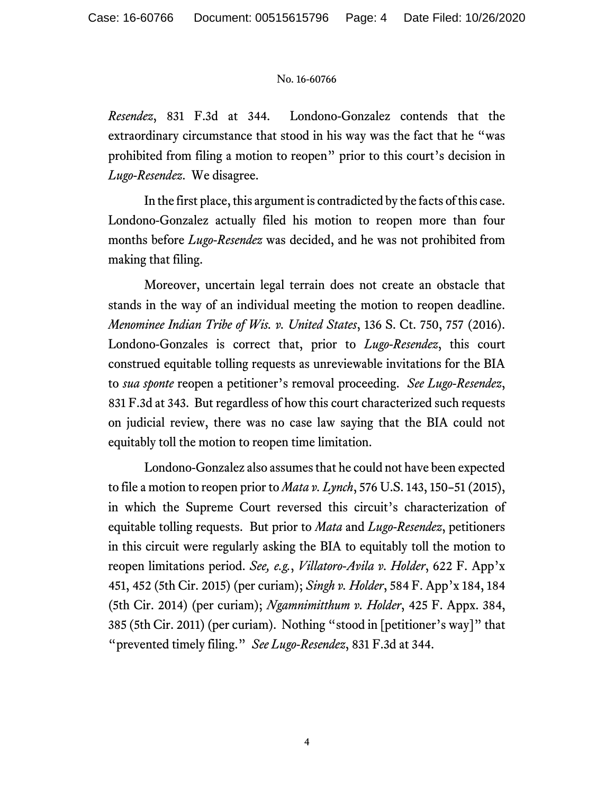*Resendez*, 831 F.3d at 344. Londono-Gonzalez contends that the extraordinary circumstance that stood in his way was the fact that he "was prohibited from filing a motion to reopen" prior to this court's decision in *Lugo-Resendez*. We disagree.

In the first place, this argument is contradicted by the facts of this case. Londono-Gonzalez actually filed his motion to reopen more than four months before *Lugo-Resendez* was decided, and he was not prohibited from making that filing.

Moreover, uncertain legal terrain does not create an obstacle that stands in the way of an individual meeting the motion to reopen deadline. *Menominee Indian Tribe of Wis. v. United States*, 136 S. Ct. 750, 757 (2016). Londono-Gonzales is correct that, prior to *Lugo-Resendez*, this court construed equitable tolling requests as unreviewable invitations for the BIA to *sua sponte* reopen a petitioner's removal proceeding. *See Lugo-Resendez*, 831 F.3d at 343. But regardless of how this court characterized such requests on judicial review, there was no case law saying that the BIA could not equitably toll the motion to reopen time limitation.

Londono-Gonzalez also assumes that he could not have been expected to file a motion to reopen prior to *Mata v. Lynch*, 576 U.S. 143, 150–51 (2015), in which the Supreme Court reversed this circuit's characterization of equitable tolling requests. But prior to *Mata* and *Lugo-Resendez*, petitioners in this circuit were regularly asking the BIA to equitably toll the motion to reopen limitations period. *See, e.g.*, *Villatoro-Avila v. Holder*, 622 F. App'x 451, 452 (5th Cir. 2015) (per curiam); *Singh v. Holder*, 584 F. App'x 184, 184 (5th Cir. 2014) (per curiam); *Ngamnimitthum v. Holder*, 425 F. Appx. 384, 385 (5th Cir. 2011) (per curiam). Nothing "stood in [petitioner's way]" that "prevented timely filing." *See Lugo-Resendez*, 831 F.3d at 344.